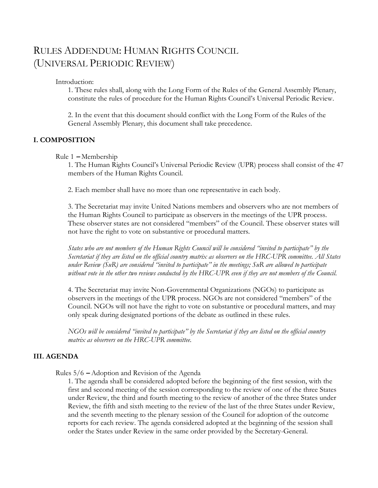# RULES ADDENDUM: HUMAN RIGHTS COUNCIL (UNIVERSAL PERIODIC REVIEW)

Introduction:

1. These rules shall, along with the Long Form of the Rules of the General Assembly Plenary, constitute the rules of procedure for the Human Rights Council's Universal Periodic Review.

2. In the event that this document should conflict with the Long Form of the Rules of the General Assembly Plenary, this document shall take precedence.

## **I. COMPOSITION**

Rule 1 **–** Membership

1. The Human Rights Council's Universal Periodic Review (UPR) process shall consist of the 47 members of the Human Rights Council.

2. Each member shall have no more than one representative in each body.

3. The Secretariat may invite United Nations members and observers who are not members of the Human Rights Council to participate as observers in the meetings of the UPR process. These observer states are not considered "members" of the Council. These observer states will not have the right to vote on substantive or procedural matters.

*States who are not members of the Human Rights Council will be considered "invited to participate" by the Secretariat if they are listed on the official country matrix as observers on the HRC-UPR committee. All States under Review (SuR) are considered "invited to participate" in the meetings; SuR are allowed to participate without vote in the other two reviews conducted by the HRC-UPR even if they are not members of the Council.*

4. The Secretariat may invite Non-Governmental Organizations (NGOs) to participate as observers in the meetings of the UPR process. NGOs are not considered "members" of the Council. NGOs will not have the right to vote on substantive or procedural matters, and may only speak during designated portions of the debate as outlined in these rules.

*NGOs will be considered "invited to participate" by the Secretariat if they are listed on the official country matrix as observers on the HRC-UPR committee.*

#### **III. AGENDA**

Rules 5/6 **–** Adoption and Revision of the Agenda

1. The agenda shall be considered adopted before the beginning of the first session, with the first and second meeting of the session corresponding to the review of one of the three States under Review, the third and fourth meeting to the review of another of the three States under Review, the fifth and sixth meeting to the review of the last of the three States under Review, and the seventh meeting to the plenary session of the Council for adoption of the outcome reports for each review. The agenda considered adopted at the beginning of the session shall order the States under Review in the same order provided by the Secretary-General.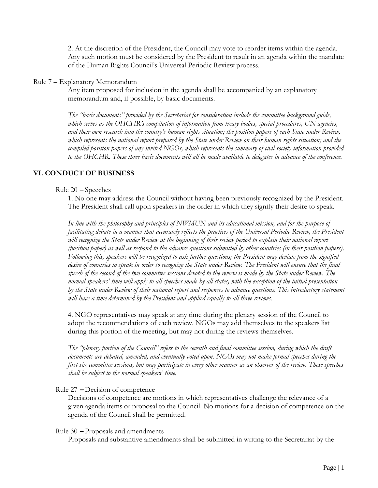2. At the discretion of the President, the Council may vote to reorder items within the agenda. Any such motion must be considered by the President to result in an agenda within the mandate of the Human Rights Council's Universal Periodic Review process.

#### Rule 7 – Explanatory Memorandum

Any item proposed for inclusion in the agenda shall be accompanied by an explanatory memorandum and, if possible, by basic documents.

*The "basic documents" provided by the Secretariat for consideration include the committee background guide, which serves as the OHCHR's compilation of information from treaty bodies, special procedures, UN agencies, and their own research into the country's human rights situation; the position papers of each State under Review, which represents the national report prepared by the State under Review on their human rights situation; and the compiled position papers of any invited NGOs, which represents the summary of civil society information provided to the OHCHR. These three basic documents will all be made available to delegates in advance of the conference.*

## **VI. CONDUCT OF BUSINESS**

#### Rule 20 **–** Speeches

1. No one may address the Council without having been previously recognized by the President. The President shall call upon speakers in the order in which they signify their desire to speak.

*In line with the philosophy and principles of NWMUN and its educational mission, and for the purpose of facilitating debate in a manner that accurately reflects the practices of the Universal Periodic Review, the President will recognize the State under Review at the beginning of their review period to explain their national report (position paper) as well as respond to the advance questions submitted by other countries (in their position papers). Following this, speakers will be recognized to ask further questions; the President may deviate from the signified desire of countries to speak in order to recognize the State under Review. The President will ensure that the final speech of the second of the two committee sessions devoted to the review is made by the State under Review. The normal speakers' time will apply to all speeches made by all states, with the exception of the initial presentation by the State under Review of their national report and responses to advance questions. This introductory statement will have a time determined by the President and applied equally to all three reviews.*

4. NGO representatives may speak at any time during the plenary session of the Council to adopt the recommendations of each review. NGOs may add themselves to the speakers list during this portion of the meeting, but may not during the reviews themselves.

*The "plenary portion of the Council" refers to the seventh and final committee session, during which the draft documents are debated, amended, and eventually voted upon. NGOs may not make formal speeches during the first six committee sessions, but may participate in every other manner as an observer of the review. These speeches shall be subject to the normal speakers' time.*

#### Rule 27 **–** Decision of competence

Decisions of competence are motions in which representatives challenge the relevance of a given agenda items or proposal to the Council. No motions for a decision of competence on the agenda of the Council shall be permitted.

#### Rule 30 **–** Proposals and amendments

Proposals and substantive amendments shall be submitted in writing to the Secretariat by the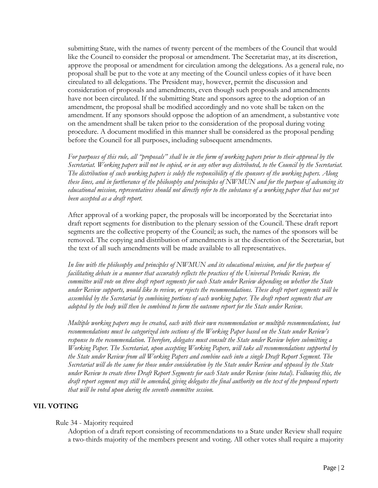submitting State, with the names of twenty percent of the members of the Council that would like the Council to consider the proposal or amendment. The Secretariat may, at its discretion, approve the proposal or amendment for circulation among the delegations. As a general rule, no proposal shall be put to the vote at any meeting of the Council unless copies of it have been circulated to all delegations. The President may, however, permit the discussion and consideration of proposals and amendments, even though such proposals and amendments have not been circulated. If the submitting State and sponsors agree to the adoption of an amendment, the proposal shall be modified accordingly and no vote shall be taken on the amendment. If any sponsors should oppose the adoption of an amendment, a substantive vote on the amendment shall be taken prior to the consideration of the proposal during voting procedure. A document modified in this manner shall be considered as the proposal pending before the Council for all purposes, including subsequent amendments.

*For purposes of this rule, all "proposals" shall be in the form of working papers prior to their approval by the Secretariat. Working papers will not be copied, or in any other way distributed, to the Council by the Secretariat. The distribution of such working papers is solely the responsibility of the sponsors of the working papers. Along these lines, and in furtherance of the philosophy and principles of NWMUN and for the purpose of advancing its*  educational mission, representatives should not directly refer to the substance of a working paper that has not yet *been accepted as a draft report.* 

After approval of a working paper, the proposals will be incorporated by the Secretariat into draft report segments for distribution to the plenary session of the Council. These draft report segments are the collective property of the Council; as such, the names of the sponsors will be removed. The copying and distribution of amendments is at the discretion of the Secretariat, but the text of all such amendments will be made available to all representatives.

*In line with the philosophy and principles of NWMUN and its educational mission, and for the purpose of facilitating debate in a manner that accurately reflects the practices of the Universal Periodic Review, the committee will vote on three draft report segments for each State under Review depending on whether the State under Review supports, would like to review, or rejects the recommendations. These draft report segments will be assembled by the Secretariat by combining portions of each working paper. The draft report segments that are adopted by the body will then be combined to form the outcome report for the State under Review.*

*Multiple working papers may be created, each with their own recommendation or multiple recommendations, but recommendations must be categorized into sections of the Working Paper based on the State under Review's response to the recommendation. Therefore, delegates must consult the State under Review before submitting a Working Paper. The Secretariat, upon accepting Working Papers, will take all recommendations supported by the State under Review from all Working Papers and combine each into a single Draft Report Segment. The Secretariat will do the same for those under consideration by the State under Review and opposed by the State under Review to create three Draft Report Segments for each State under Review (nine total). Following this, the draft report segment may still be amended, giving delegates the final authority on the text of the proposed reports that will be voted upon during the seventh committee session.*

## **VII. VOTING**

#### Rule 34 - Majority required

Adoption of a draft report consisting of recommendations to a State under Review shall require a two-thirds majority of the members present and voting. All other votes shall require a majority